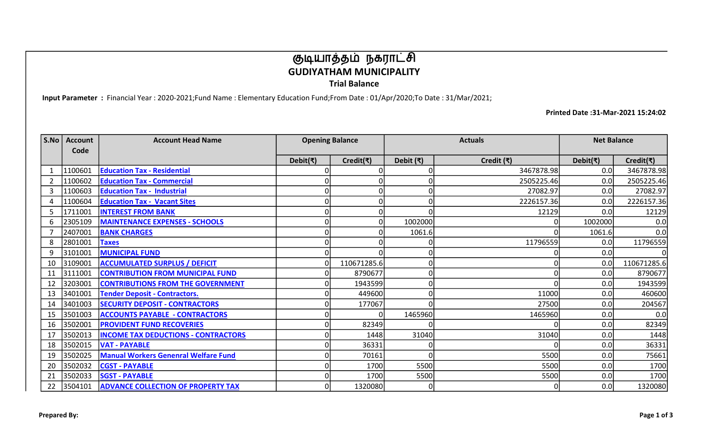## குடியாத்தம் நகராட்சி GUDIYATHAM MUNICIPALITY

Trial Balance

Input Parameter : Financial Year : 2020-2021;Fund Name : Elementary Education Fund;From Date : 01/Apr/2020;To Date : 31/Mar/2021;

Printed Date :31-Mar-2021 15:24:02

| S.No           | <b>Account</b><br>Code | <b>Account Head Name</b>                    | <b>Opening Balance</b> | <b>Actuals</b>              |                   | <b>Net Balance</b> |                            |             |
|----------------|------------------------|---------------------------------------------|------------------------|-----------------------------|-------------------|--------------------|----------------------------|-------------|
|                |                        |                                             | Debit(₹)               | Credit( $\overline{\tau}$ ) | Debit $(\bar{x})$ | Credit (₹)         | Debit( $\overline{\tau}$ ) | Credit(₹)   |
|                | 1100601                | <b>Education Tax - Residential</b>          |                        |                             |                   | 3467878.98         | 0.0                        | 3467878.98  |
| $\overline{2}$ | 1100602                | <b>Education Tax - Commercial</b>           |                        |                             |                   | 2505225.46         | 0.0                        | 2505225.46  |
| 3              | 1100603                | <b>Education Tax - Industrial</b>           | 0                      |                             | 0                 | 27082.97           | 0.0                        | 27082.97    |
| 4              | 1100604                | <b>Education Tax - Vacant Sites</b>         | 0                      |                             |                   | 2226157.36         | 0.0                        | 2226157.36  |
| 5              | 1711001                | <b>INTEREST FROM BANK</b>                   | 0                      |                             | n                 | 12129              | 0.0                        | 12129       |
| 6              | 2305109                | <b>MAINTENANCE EXPENSES - SCHOOLS</b>       | 0                      |                             | 1002000           |                    | 1002000                    | 0.0         |
|                | 2407001                | <b>BANK CHARGES</b>                         | $\mathbf{0}$           |                             | 1061.6            |                    | 1061.6                     | 0.0         |
| 8              | 2801001                | <b>Taxes</b>                                | O                      |                             |                   | 11796559           | 0.0                        | 11796559    |
| 9              | 3101001                | <b>MUNICIPAL FUND</b>                       | 0                      |                             |                   |                    | 0.0                        | ΩI          |
| 10             | 3109001                | <b>ACCUMULATED SURPLUS / DEFICIT</b>        | O                      | 110671285.6                 |                   |                    | 0.0                        | 110671285.6 |
| 11             | 3111001                | <b>CONTRIBUTION FROM MUNICIPAL FUND</b>     |                        | 8790677                     |                   |                    | 0.0                        | 8790677     |
| 12             | 3203001                | <b>CONTRIBUTIONS FROM THE GOVERNMENT</b>    |                        | 1943599                     |                   |                    | 0. <sub>C</sub>            | 1943599     |
| 13             | 3401001                | <b>Tender Deposit - Contractors.</b>        | 0                      | 449600                      | 0                 | 11000              | 0. <sub>C</sub>            | 460600      |
| 14             | 3401003                | <b>SECURITY DEPOSIT - CONTRACTORS</b>       | 0                      | 177067                      | O                 | 27500              | 0.0                        | 204567      |
| 15             | 3501003                | <b>ACCOUNTS PAYABLE - CONTRACTORS</b>       | 0                      |                             | 1465960           | 1465960            | 0.0                        | 0.0         |
| 16             | 3502001                | <b>PROVIDENT FUND RECOVERIES</b>            | O                      | 82349                       |                   |                    | 0.0                        | 82349       |
| 17             | 3502013                | <b>INCOME TAX DEDUCTIONS - CONTRACTORS</b>  | $\Omega$               | 1448                        | 31040             | 31040              | 0.0                        | 1448        |
| 18             | 3502015                | <b>VAT - PAYABLE</b>                        | $\Omega$               | 36331                       |                   |                    | 0.0                        | 36331       |
| 19             | 3502025                | <b>Manual Workers Genenral Welfare Fund</b> | $\Omega$               | 70161                       | 0                 | 5500l              | 0.0                        | 75661       |
| 20             | 3502032                | <b>CGST - PAYABLE</b>                       | $\Omega$               | 1700                        | 5500              | 5500               | 0.0                        | 1700        |
| 21             | 3502033                | <b>SGST - PAYABLE</b>                       | 0                      | 1700                        | 5500              | 5500               | 0.0                        | 1700        |
| 22             | 3504101                | <b>ADVANCE COLLECTION OF PROPERTY TAX</b>   | $\Omega$               | 1320080                     | 0                 |                    | 0.0                        | 1320080     |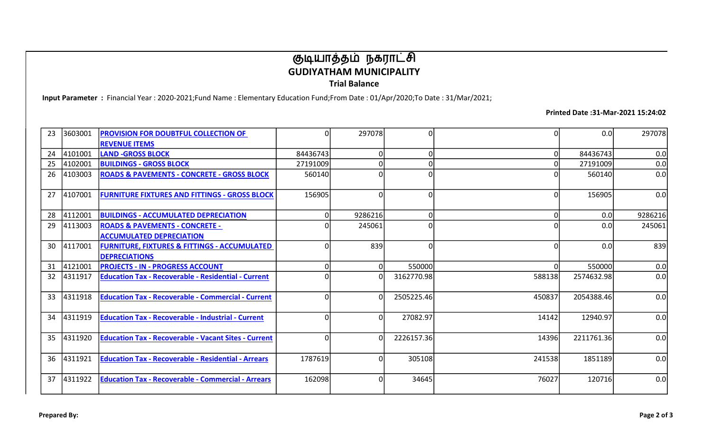## குடியாத்தம் நகராட்சி GUDIYATHAM MUNICIPALITY Trial Balance

Input Parameter : Financial Year : 2020-2021;Fund Name : Elementary Education Fund;From Date : 01/Apr/2020;To Date : 31/Mar/2021;

Printed Date :31-Mar-2021 15:24:02

| 23 | 3603001 | <b>PROVISION FOR DOUBTFUL COLLECTION OF</b>                 | 0        | 297078   | 0              |        | 0.0        | 297078  |
|----|---------|-------------------------------------------------------------|----------|----------|----------------|--------|------------|---------|
|    |         | <b>REVENUE ITEMS</b>                                        |          |          |                |        |            |         |
| 24 | 4101001 | <b>LAND -GROSS BLOCK</b>                                    | 84436743 | $\Omega$ | οl             |        | 84436743   | 0.0     |
| 25 | 4102001 | <b>BUILDINGS - GROSS BLOCK</b>                              | 27191009 |          | $\overline{0}$ |        | 27191009   | 0.0     |
| 26 | 4103003 | <b>ROADS &amp; PAVEMENTS - CONCRETE - GROSS BLOCK</b>       | 560140   |          | $\overline{0}$ |        | 560140     | 0.0     |
| 27 | 4107001 | <b>FURNITURE FIXTURES AND FITTINGS - GROSS BLOCK</b>        | 156905   | $\Omega$ | οl             |        | 156905     | 0.0     |
| 28 | 4112001 | <b>BUILDINGS - ACCUMULATED DEPRECIATION</b>                 | 0        | 9286216  | 0              |        | 0.0        | 9286216 |
| 29 | 4113003 | <b>ROADS &amp; PAVEMENTS - CONCRETE -</b>                   |          | 245061   | $\overline{0}$ |        | 0.0        | 245061  |
|    |         | <b>ACCUMULATED DEPRECIATION</b>                             |          |          |                |        |            |         |
| 30 | 4117001 | <b>FURNITURE, FIXTURES &amp; FITTINGS - ACCUMULATED</b>     | O        | 839      | οl             |        | 0.0        | 839     |
|    |         | <b>DEPRECIATIONS</b>                                        |          |          |                |        |            |         |
| 31 | 4121001 | <b>PROJECTS - IN - PROGRESS ACCOUNT</b>                     | 0        | $\Omega$ | 550000         |        | 550000     | 0.0     |
| 32 | 4311917 | <b>Education Tax - Recoverable - Residential - Current</b>  | O        | $\Omega$ | 3162770.98     | 588138 | 2574632.98 | 0.0     |
| 33 | 4311918 | <b>Education Tax - Recoverable - Commercial - Current</b>   | 0        | $\Omega$ | 2505225.46     | 450837 | 2054388.46 | 0.0     |
| 34 | 4311919 | <b>Education Tax - Recoverable - Industrial - Current</b>   | O        | $\Omega$ | 27082.97       | 14142  | 12940.97   | 0.0     |
| 35 | 4311920 | <b>Education Tax - Recoverable - Vacant Sites - Current</b> | 0        | $\Omega$ | 2226157.36     | 14396  | 2211761.36 | 0.0     |
| 36 | 4311921 | <b>Education Tax - Recoverable - Residential - Arrears</b>  | 1787619  | $\Omega$ | 305108         | 241538 | 1851189    | 0.0     |
| 37 | 4311922 | <b>Education Tax - Recoverable - Commercial - Arrears</b>   | 162098   |          | 34645          | 76027  | 120716     | 0.0     |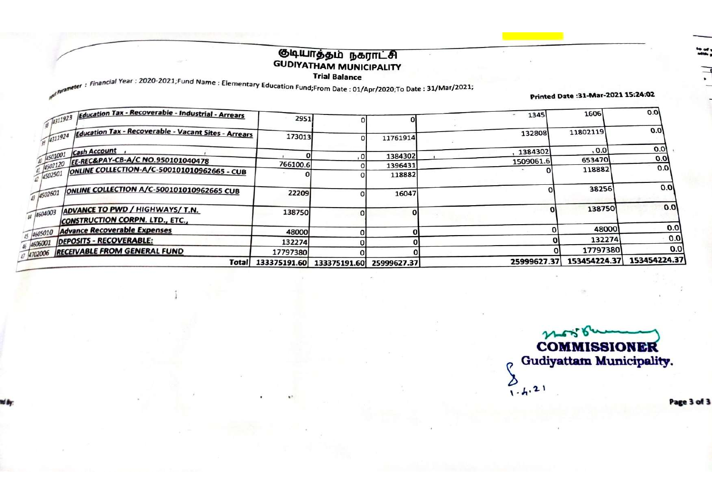# குடியாத்தம் நகராட்சி<br>GUDIYATHAM MUNICIPALITY

**Trial Balance** 

**I Fial Balance**<br>Financial Year: 2020-2021;Fund Name : Elementary Education Fund;From Date : 01/Apr/2020;To Date : 31/Mar/2021;

Printed Date : 31-Mar-2021 15:24:02

| 4702006 RECEIVABLE FROM GENERAL FUND                                             | 17797380 |    |                    | 25999627.37 | 17797380<br>153454224.37 | 0.0<br>153454224.37 |
|----------------------------------------------------------------------------------|----------|----|--------------------|-------------|--------------------------|---------------------|
| DEPOSITS - RECOVERABLE:<br>6/4606001                                             | 132274   |    |                    |             | 132274                   | 0.0                 |
| 45 4605010 Advance Recoverable Expenses                                          | 48000    |    |                    |             | 48000                    | 0.0                 |
| ADVANCE TO PWD / HIGHWAYS/ T.N.<br>44 4604003<br>CONSTRUCTION CORPN. LTD., ETC., | 138750   |    |                    |             | 138750                   | 0.01                |
| ONLINE COLLECTION A/C-500101010962665 CUB<br>$-14502601$                         | 22209    |    | 16047              |             | 38256                    | 0.0                 |
| ONLINE COLLECTION-A/C-500101010962665 - CUB<br>$-14502501$                       |          |    | 118882             |             | 118882                   | 0.0                 |
| $\frac{1}{4501001}$ Cash Account<br>1502120 EE-REC&PAY-CB-A/C NO.950101040478    | 766100.6 | o  | 1384302<br>1396431 | 1509061.6   | 653470                   | 0.0                 |
|                                                                                  |          |    |                    | 1384302     | , 0.0                    | 0.01                |
| Education Tax - Recoverable - Vacant Sites - Arrears<br>$-4311924$               | 173013   | ΟI | 11761914           | 132808      | 11802119                 | 0.01                |
| Education Tax - Recoverable - Industrial - Arrears                               | 2951     |    |                    | 1345        | 1606                     | 0.0                 |

COMMISSIONER Gudiyattam Municipality.  $\sigma$ 

 $2.621$ 

Page 3 of 3

 $\overline{\cdot}$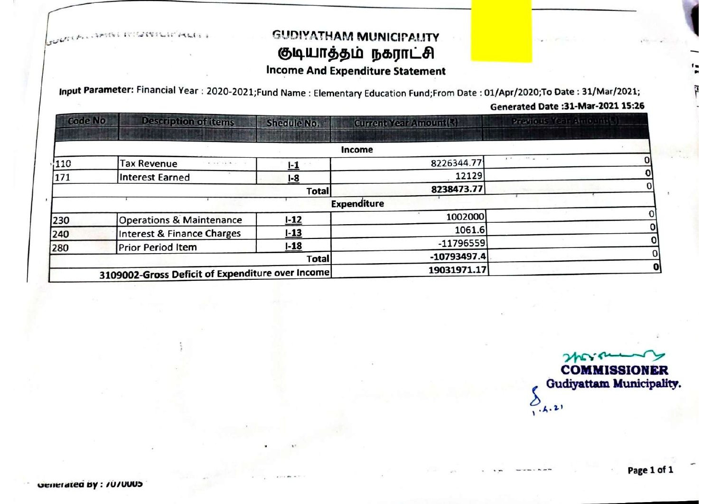**SULFAMERIC INSURIE** 

## **GUDIYATHAM MUNICIPALITY** குடியாத்தம் நகராட்சி **Income And Expenditure Statement**

Input Parameter: Financial Year: 2020-2021;Fund Name: Elementary Education Fund;From Date: 01/Apr/2020;To Date: 31/Mar/2021;

#### Generated Date: 31-Mar-2021 15:26

| <b>Code No</b> | <b>Description of items</b>                      | <b>Shedule No.</b> | Current Year Amount(3) | Provious Year Amount &                             |
|----------------|--------------------------------------------------|--------------------|------------------------|----------------------------------------------------|
|                |                                                  |                    | Income                 |                                                    |
| 110            | <b>Tax Revenue</b>                               | i-1                | 8226344.77             | $\mathbf{r}$ , and $\mathbf{r}$ , and $\mathbf{r}$ |
| 171            | Interest Earned                                  | I-8                | 12129                  |                                                    |
|                |                                                  | <b>Total</b>       | 8238473.77             |                                                    |
|                |                                                  |                    | <b>Expenditure</b>     |                                                    |
| 230            | <b>Operations &amp; Maintenance</b>              | $1 - 12$           | 1002000                |                                                    |
| 240            | Interest & Finance Charges                       | $1 - 13$           | 1061.6                 |                                                    |
| 280            | <b>Prior Period Item</b>                         | $1 - 18$           | $-11796559$            |                                                    |
|                |                                                  | Total              | $-10793497.4$          |                                                    |
|                | 3109002-Gross Deficit of Expenditure over Income |                    | 19031971.17            |                                                    |

 $2\hbar$ **COMMISSIONER Gudiyattam Municipality.**  $O_{(h,2)}$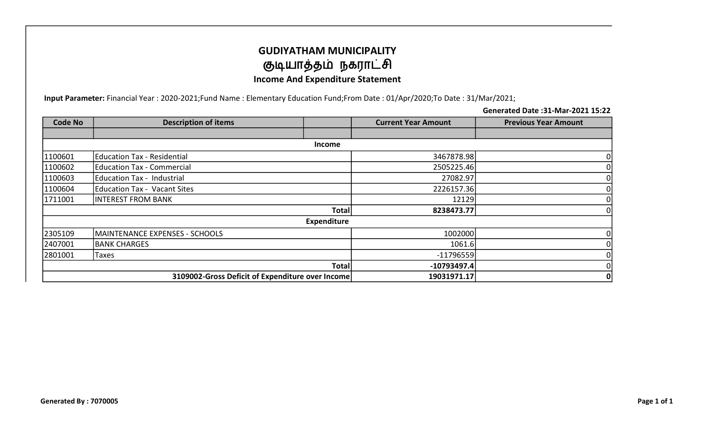## GUDIYATHAM MUNICIPALITY குடியாத்தம் நகராட்சி Income And Expenditure Statement

Input Parameter: Financial Year : 2020-2021;Fund Name : Elementary Education Fund;From Date : 01/Apr/2020;To Date : 31/Mar/2021;

Generated Date :31-Mar-2021 15:22

| <b>Code No</b> | <b>Description of items</b>                      |                    | <b>Current Year Amount</b> | <b>Previous Year Amount</b> |  |  |  |  |  |
|----------------|--------------------------------------------------|--------------------|----------------------------|-----------------------------|--|--|--|--|--|
|                |                                                  |                    |                            |                             |  |  |  |  |  |
|                | Income                                           |                    |                            |                             |  |  |  |  |  |
| 1100601        | Education Tax - Residential                      |                    | 3467878.98                 | 01                          |  |  |  |  |  |
| 1100602        | Education Tax - Commercial                       |                    | 2505225.46                 | 0                           |  |  |  |  |  |
| 1100603        | Education Tax - Industrial                       |                    | 27082.97                   | 0                           |  |  |  |  |  |
| 1100604        | Education Tax - Vacant Sites                     |                    | 2226157.36                 | 0                           |  |  |  |  |  |
| 1711001        | <b>INTEREST FROM BANK</b>                        |                    | 12129                      | 0                           |  |  |  |  |  |
|                |                                                  | <b>Total</b>       | 8238473.77                 | 01                          |  |  |  |  |  |
|                |                                                  | <b>Expenditure</b> |                            |                             |  |  |  |  |  |
| 2305109        | MAINTENANCE EXPENSES - SCHOOLS                   |                    | 1002000                    | 0                           |  |  |  |  |  |
| 2407001        | <b>BANK CHARGES</b>                              |                    | 1061.6                     | 0                           |  |  |  |  |  |
| 2801001        | Taxes                                            |                    | $-11796559$                | 0                           |  |  |  |  |  |
|                |                                                  | Total              | $-10793497.4$              | 0                           |  |  |  |  |  |
|                | 3109002-Gross Deficit of Expenditure over Income | 19031971.17        | 0                          |                             |  |  |  |  |  |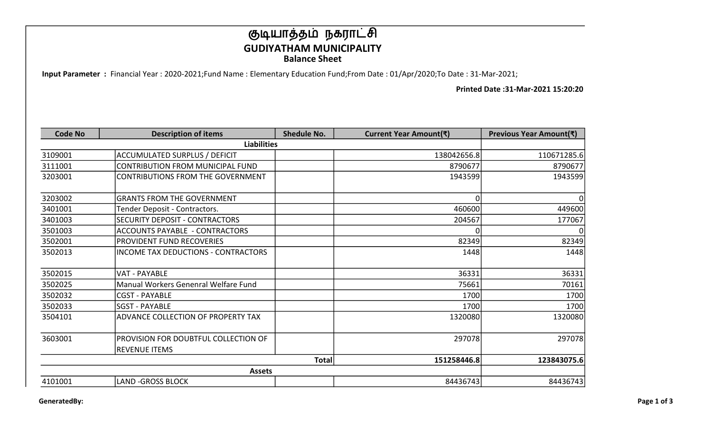## குடியாத்தம் நகராட்சி GUDIYATHAM MUNICIPALITY Balance Sheet

Input Parameter : Financial Year : 2020-2021;Fund Name : Elementary Education Fund;From Date : 01/Apr/2020;To Date : 31-Mar-2021;

Printed Date :31-Mar-2021 15:20:20

| <b>Code No</b> | <b>Description of items</b>                | <b>Shedule No.</b> | Current Year Amount(₹) | Previous Year Amount(₹) |
|----------------|--------------------------------------------|--------------------|------------------------|-------------------------|
|                | <b>Liabilities</b>                         |                    |                        |                         |
| 3109001        | <b>ACCUMULATED SURPLUS / DEFICIT</b>       |                    | 138042656.8            | 110671285.6             |
| 3111001        | CONTRIBUTION FROM MUNICIPAL FUND           |                    | 8790677                | 8790677                 |
| 3203001        | CONTRIBUTIONS FROM THE GOVERNMENT          |                    | 1943599                | 1943599                 |
| 3203002        | <b>GRANTS FROM THE GOVERNMENT</b>          |                    | $\Omega$               | $\Omega$                |
| 3401001        | Tender Deposit - Contractors.              |                    | 460600                 | 449600                  |
| 3401003        | SECURITY DEPOSIT - CONTRACTORS             |                    | 204567                 | 177067                  |
| 3501003        | <b>ACCOUNTS PAYABLE - CONTRACTORS</b>      |                    | ΩI                     | 0                       |
| 3502001        | <b>PROVIDENT FUND RECOVERIES</b>           |                    | 82349                  | 82349                   |
| 3502013        | <b>INCOME TAX DEDUCTIONS - CONTRACTORS</b> |                    | 1448                   | 1448                    |
| 3502015        | <b>VAT - PAYABLE</b>                       |                    | 36331                  | 36331                   |
| 3502025        | Manual Workers Genenral Welfare Fund       |                    | 75661                  | 70161                   |
| 3502032        | <b>CGST - PAYABLE</b>                      |                    | 1700                   | 1700                    |
| 3502033        | <b>SGST - PAYABLE</b>                      |                    | 1700                   | 1700                    |
| 3504101        | ADVANCE COLLECTION OF PROPERTY TAX         |                    | 1320080                | 1320080                 |
| 3603001        | PROVISION FOR DOUBTFUL COLLECTION OF       |                    | 297078                 | 297078                  |
|                | <b>REVENUE ITEMS</b>                       |                    |                        |                         |
|                |                                            | <b>Total</b>       | 151258446.8            | 123843075.6             |
|                | <b>Assets</b>                              |                    |                        |                         |
| 4101001        | <b>LAND -GROSS BLOCK</b>                   |                    | 84436743               | 84436743                |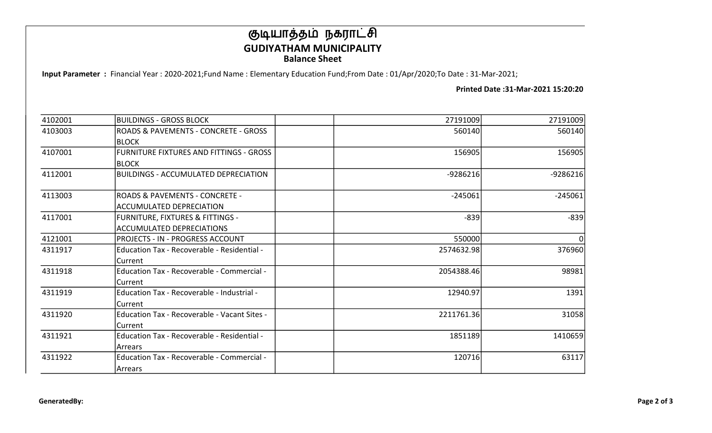## குடியாத்தம் நகராட்சி GUDIYATHAM MUNICIPALITY Balance Sheet

Input Parameter : Financial Year : 2020-2021;Fund Name : Elementary Education Fund;From Date : 01/Apr/2020;To Date : 31-Mar-2021;

Printed Date :31-Mar-2021 15:20:20

| 4102001 | <b>BUILDINGS - GROSS BLOCK</b>                 | 27191009   | 27191009   |
|---------|------------------------------------------------|------------|------------|
| 4103003 | ROADS & PAVEMENTS - CONCRETE - GROSS           | 560140     | 560140     |
|         | <b>BLOCK</b>                                   |            |            |
| 4107001 | <b>FURNITURE FIXTURES AND FITTINGS - GROSS</b> | 156905     | 156905     |
|         | <b>BLOCK</b>                                   |            |            |
| 4112001 | <b>BUILDINGS - ACCUMULATED DEPRECIATION</b>    | $-9286216$ | $-9286216$ |
| 4113003 | <b>ROADS &amp; PAVEMENTS - CONCRETE -</b>      | $-245061$  | $-245061$  |
|         | <b>ACCUMULATED DEPRECIATION</b>                |            |            |
| 4117001 | <b>FURNITURE, FIXTURES &amp; FITTINGS -</b>    | $-839$     | $-839$     |
|         | <b>ACCUMULATED DEPRECIATIONS</b>               |            |            |
| 4121001 | PROJECTS - IN - PROGRESS ACCOUNT               | 550000     |            |
| 4311917 | Education Tax - Recoverable - Residential -    | 2574632.98 | 376960     |
|         | Current                                        |            |            |
| 4311918 | Education Tax - Recoverable - Commercial -     | 2054388.46 | 98981      |
|         | Current                                        |            |            |
| 4311919 | Education Tax - Recoverable - Industrial -     | 12940.97   | 1391       |
|         | Current                                        |            |            |
| 4311920 | Education Tax - Recoverable - Vacant Sites -   | 2211761.36 | 31058      |
|         | Current                                        |            |            |
| 4311921 | Education Tax - Recoverable - Residential -    | 1851189    | 1410659    |
|         | Arrears                                        |            |            |
| 4311922 | Education Tax - Recoverable - Commercial -     | 120716     | 63117      |
|         | Arrears                                        |            |            |